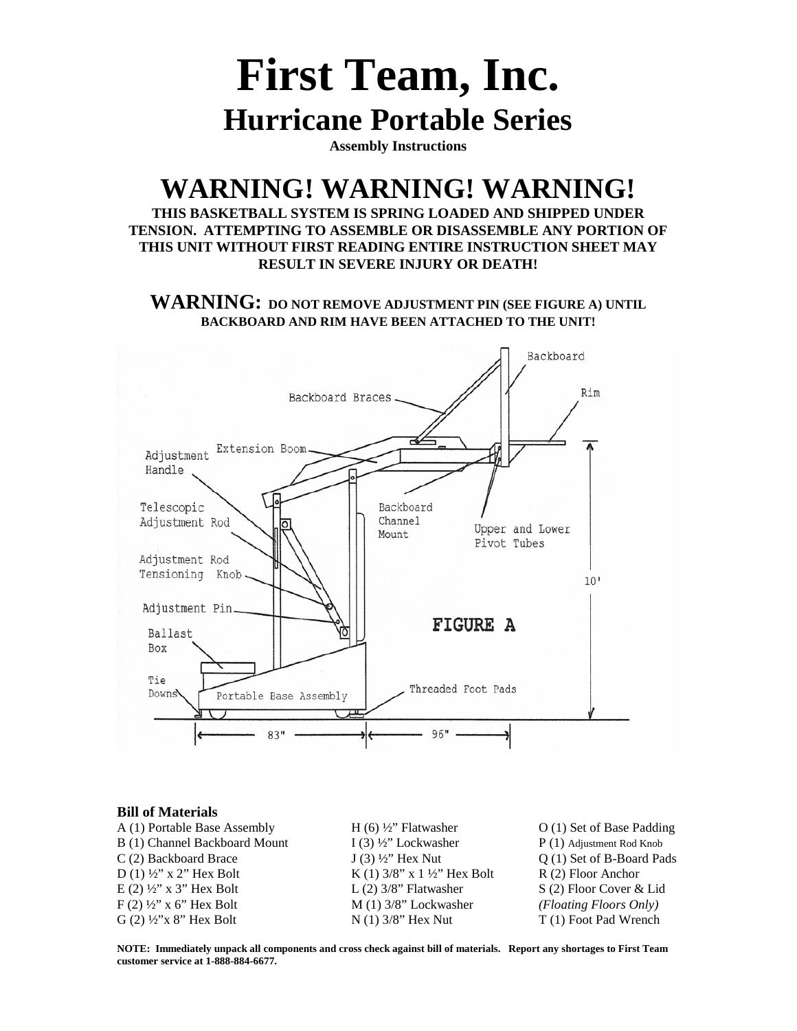# **First Team, Inc. Hurricane Portable Series**

**Assembly Instructions**

### **WARNING! WARNING! WARNING!**

**THIS BASKETBALL SYSTEM IS SPRING LOADED AND SHIPPED UNDER TENSION. ATTEMPTING TO ASSEMBLE OR DISASSEMBLE ANY PORTION OF THIS UNIT WITHOUT FIRST READING ENTIRE INSTRUCTION SHEET MAY RESULT IN SEVERE INJURY OR DEATH!**

**WARNING: DO NOT REMOVE ADJUSTMENT PIN (SEE FIGURE A) UNTIL BACKBOARD AND RIM HAVE BEEN ATTACHED TO THE UNIT!**



#### **Bill of Materials**

A (1) Portable Base Assembly H (6)  $\frac{1}{2}$  Flatwasher O (1) Set of Base Padding B (1) Channel Backboard Mount I (3)  $\frac{1}{2}$  Lockwasher P (1) Adjustment Rod Knob  $C(2)$  Backboard Brace  $J(3)$  <sup>1</sup>/<sub>2</sub>" Hex Nut  $Q(1)$  Set of B-Board Pads D (1)  $\frac{1}{2}$ " X 2" Hex Bolt K (1) 3/8" x 1  $\frac{1}{2}$ " Hex Bolt R (2) Floor Anchor  $E(2)$   $\frac{1}{2}$   $\times$   $\frac{1}{2}$   $\times$   $\frac{1}{2}$   $\times$   $\frac{1}{2}$   $\times$   $\frac{1}{2}$   $\times$   $\frac{1}{2}$   $\times$   $\frac{1}{2}$   $\times$   $\frac{1}{2}$   $\times$   $\frac{1}{2}$   $\times$   $\frac{1}{2}$   $\times$   $\frac{1}{2}$   $\times$   $\frac{1}{2}$   $\times$   $\frac{1}{2}$   $\times$   $\frac{1}{2}$   $\times$   $\frac{$ F (2) ½" x 6" Hex Bolt M (1) 3/8" Lockwasher *(Floating Floors Only)* G (2)  $\frac{1}{2}$ 'x 8" Hex Bolt N (1) 3/8" Hex Nut T (1) Foot Pad Wrench

**NOTE: Immediately unpack all components and cross check against bill of materials. Report any shortages to First Team customer service at 1-888-884-6677.**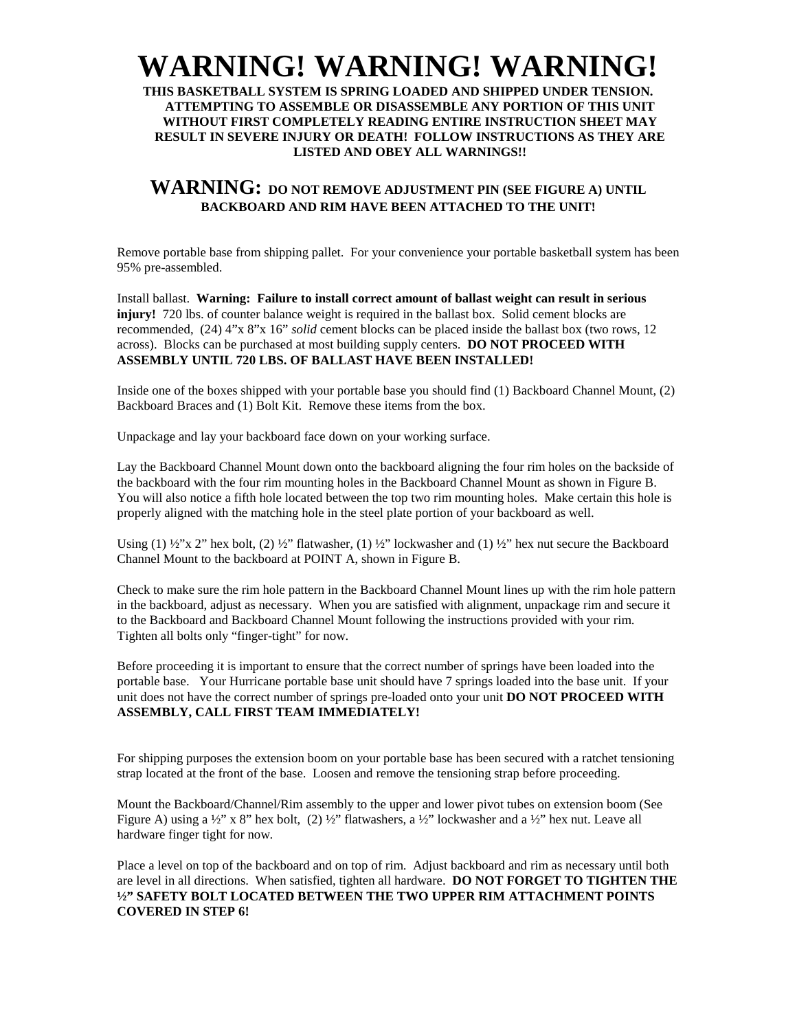## **WARNING! WARNING! WARNING!**

**THIS BASKETBALL SYSTEM IS SPRING LOADED AND SHIPPED UNDER TENSION. ATTEMPTING TO ASSEMBLE OR DISASSEMBLE ANY PORTION OF THIS UNIT WITHOUT FIRST COMPLETELY READING ENTIRE INSTRUCTION SHEET MAY RESULT IN SEVERE INJURY OR DEATH! FOLLOW INSTRUCTIONS AS THEY ARE LISTED AND OBEY ALL WARNINGS!!**

### **WARNING: DO NOT REMOVE ADJUSTMENT PIN (SEE FIGURE A) UNTIL BACKBOARD AND RIM HAVE BEEN ATTACHED TO THE UNIT!**

Remove portable base from shipping pallet. For your convenience your portable basketball system has been 95% pre-assembled.

Install ballast. **Warning: Failure to install correct amount of ballast weight can result in serious injury!** 720 lbs. of counter balance weight is required in the ballast box. Solid cement blocks are recommended, (24) 4"x 8"x 16" *solid* cement blocks can be placed inside the ballast box (two rows, 12 across). Blocks can be purchased at most building supply centers. **DO NOT PROCEED WITH ASSEMBLY UNTIL 720 LBS. OF BALLAST HAVE BEEN INSTALLED!**

Inside one of the boxes shipped with your portable base you should find (1) Backboard Channel Mount, (2) Backboard Braces and (1) Bolt Kit. Remove these items from the box.

Unpackage and lay your backboard face down on your working surface.

Lay the Backboard Channel Mount down onto the backboard aligning the four rim holes on the backside of the backboard with the four rim mounting holes in the Backboard Channel Mount as shown in Figure B. You will also notice a fifth hole located between the top two rim mounting holes. Make certain this hole is properly aligned with the matching hole in the steel plate portion of your backboard as well.

Using (1)  $\frac{1}{2}$ "x 2" hex bolt, (2)  $\frac{1}{2}$ " flatwasher, (1)  $\frac{1}{2}$ " lockwasher and (1)  $\frac{1}{2}$ " hex nut secure the Backboard Channel Mount to the backboard at POINT A, shown in Figure B.

Check to make sure the rim hole pattern in the Backboard Channel Mount lines up with the rim hole pattern in the backboard, adjust as necessary. When you are satisfied with alignment, unpackage rim and secure it to the Backboard and Backboard Channel Mount following the instructions provided with your rim. Tighten all bolts only "finger-tight" for now.

Before proceeding it is important to ensure that the correct number of springs have been loaded into the portable base. Your Hurricane portable base unit should have 7 springs loaded into the base unit. If your unit does not have the correct number of springs pre-loaded onto your unit **DO NOT PROCEED WITH ASSEMBLY, CALL FIRST TEAM IMMEDIATELY!**

For shipping purposes the extension boom on your portable base has been secured with a ratchet tensioning strap located at the front of the base. Loosen and remove the tensioning strap before proceeding.

Mount the Backboard/Channel/Rim assembly to the upper and lower pivot tubes on extension boom (See Figure A) using a  $\frac{1}{2}$ " x 8" hex bolt, (2)  $\frac{1}{2}$ " flatwashers, a  $\frac{1}{2}$ " lockwasher and a  $\frac{1}{2}$ " hex nut. Leave all hardware finger tight for now.

Place a level on top of the backboard and on top of rim. Adjust backboard and rim as necessary until both are level in all directions. When satisfied, tighten all hardware. **DO NOT FORGET TO TIGHTEN THE ½" SAFETY BOLT LOCATED BETWEEN THE TWO UPPER RIM ATTACHMENT POINTS COVERED IN STEP 6!**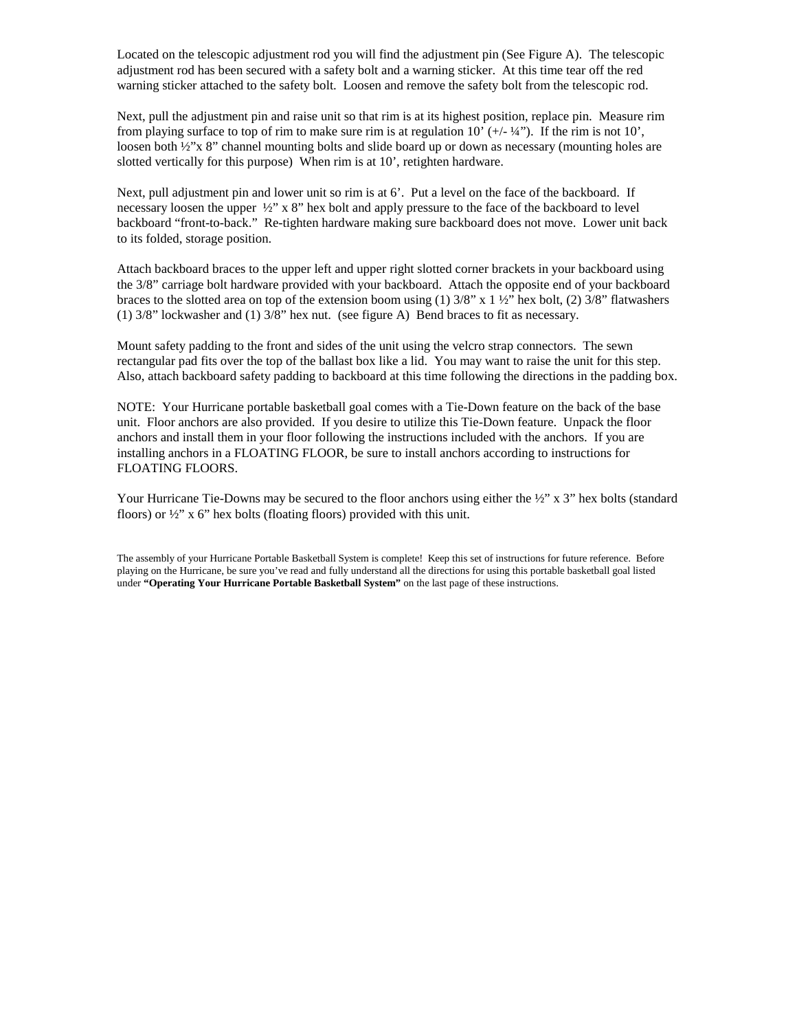Located on the telescopic adjustment rod you will find the adjustment pin (See Figure A). The telescopic adjustment rod has been secured with a safety bolt and a warning sticker. At this time tear off the red warning sticker attached to the safety bolt. Loosen and remove the safety bolt from the telescopic rod.

Next, pull the adjustment pin and raise unit so that rim is at its highest position, replace pin. Measure rim from playing surface to top of rim to make sure rim is at regulation  $10'$  (+/- $\frac{1}{4}$ "). If the rim is not  $10'$ , loosen both  $\frac{1}{2}$ "x 8" channel mounting bolts and slide board up or down as necessary (mounting holes are slotted vertically for this purpose) When rim is at 10', retighten hardware.

Next, pull adjustment pin and lower unit so rim is at 6'. Put a level on the face of the backboard. If necessary loosen the upper  $\frac{1}{2}$ " x 8" hex bolt and apply pressure to the face of the backboard to level backboard "front-to-back." Re-tighten hardware making sure backboard does not move. Lower unit back to its folded, storage position.

Attach backboard braces to the upper left and upper right slotted corner brackets in your backboard using the 3/8" carriage bolt hardware provided with your backboard. Attach the opposite end of your backboard braces to the slotted area on top of the extension boom using (1)  $3/8$ " x 1  $\frac{1}{2}$ " hex bolt, (2)  $3/8$ " flatwashers (1) 3/8" lockwasher and (1) 3/8" hex nut. (see figure A) Bend braces to fit as necessary.

Mount safety padding to the front and sides of the unit using the velcro strap connectors. The sewn rectangular pad fits over the top of the ballast box like a lid. You may want to raise the unit for this step. Also, attach backboard safety padding to backboard at this time following the directions in the padding box.

NOTE: Your Hurricane portable basketball goal comes with a Tie-Down feature on the back of the base unit. Floor anchors are also provided. If you desire to utilize this Tie-Down feature. Unpack the floor anchors and install them in your floor following the instructions included with the anchors. If you are installing anchors in a FLOATING FLOOR, be sure to install anchors according to instructions for FLOATING FLOORS.

Your Hurricane Tie-Downs may be secured to the floor anchors using either the ½" x 3" hex bolts (standard floors) or  $\frac{1}{2}$ " x 6" hex bolts (floating floors) provided with this unit.

The assembly of your Hurricane Portable Basketball System is complete! Keep this set of instructions for future reference. Before playing on the Hurricane, be sure you've read and fully understand all the directions for using this portable basketball goal listed under **"Operating Your Hurricane Portable Basketball System"** on the last page of these instructions.